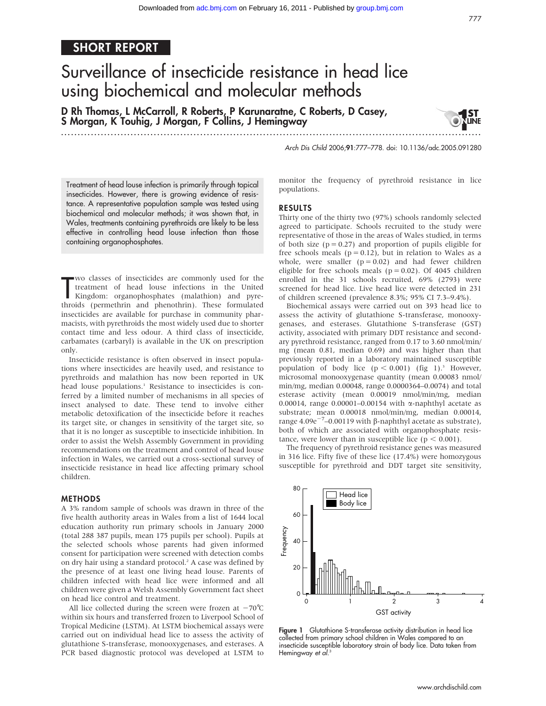# SHORT REPORT

# Surveillance of insecticide resistance in head lice using biochemical and molecular methods

D Rh Thomas, L McCarroll, R Roberts, P Karunaratne, C Roberts, D Casey, S Morgan, K Touhig, J Morgan, F Collins, J Hemingway

.............................................................................................................................. .



Arch Dis Child 2006;91:777–778. doi: 10.1136/adc.2005.091280

Treatment of head louse infection is primarily through topical insecticides. However, there is growing evidence of resistance. A representative population sample was tested using biochemical and molecular methods; it was shown that, in Wales, treatments containing pyrethroids are likely to be less effective in controlling head louse infection than those containing organophosphates.

wo classes of insecticides are commonly used for the<br>treatment of head louse infections in the United<br>Kingdom: organophosphates (malathion) and pyre-<br>throids (permethrin and phenothrin). These formulated wo classes of insecticides are commonly used for the treatment of head louse infections in the United Kingdom: organophosphates (malathion) and pyreinsecticides are available for purchase in community pharmacists, with pyrethroids the most widely used due to shorter contact time and less odour. A third class of insecticide, carbamates (carbaryl) is available in the UK on prescription only.

Insecticide resistance is often observed in insect populations where insecticides are heavily used, and resistance to pyrethroids and malathion has now been reported in UK head louse populations.<sup>1</sup> Resistance to insecticides is conferred by a limited number of mechanisms in all species of insect analysed to date. These tend to involve either metabolic detoxification of the insecticide before it reaches its target site, or changes in sensitivity of the target site, so that it is no longer as susceptible to insecticide inhibition. In order to assist the Welsh Assembly Government in providing recommendations on the treatment and control of head louse infection in Wales, we carried out a cross-sectional survey of insecticide resistance in head lice affecting primary school children.

## **METHODS**

A 3% random sample of schools was drawn in three of the five health authority areas in Wales from a list of 1644 local education authority run primary schools in January 2000 (total 288 387 pupils, mean 175 pupils per school). Pupils at the selected schools whose parents had given informed consent for participation were screened with detection combs on dry hair using a standard protocol.2 A case was defined by the presence of at least one living head louse. Parents of children infected with head lice were informed and all children were given a Welsh Assembly Government fact sheet on head lice control and treatment.

All lice collected during the screen were frozen at  $-70^{\circ}$ C within six hours and transferred frozen to Liverpool School of Tropical Medicine (LSTM). At LSTM biochemical assays were carried out on individual head lice to assess the activity of glutathione S-transferase, monooxygenases, and esterases. A PCR based diagnostic protocol was developed at LSTM to monitor the frequency of pyrethroid resistance in lice populations.

#### RESULTS

Thirty one of the thirty two (97%) schools randomly selected agreed to participate. Schools recruited to the study were representative of those in the areas of Wales studied, in terms of both size  $(p = 0.27)$  and proportion of pupils eligible for free schools meals ( $p = 0.12$ ), but in relation to Wales as a whole, were smaller  $(p = 0.02)$  and had fewer children eligible for free schools meals ( $p = 0.02$ ). Of 4045 children enrolled in the 31 schools recruited, 69% (2793) were screened for head lice. Live head lice were detected in 231 of children screened (prevalence 8.3%; 95% CI 7.3–9.4%).

Biochemical assays were carried out on 393 head lice to assess the activity of glutathione S-transferase, monooxygenases, and esterases. Glutathione S-transferase (GST) activity, associated with primary DDT resistance and secondary pyrethroid resistance, ranged from 0.17 to 3.60 nmol/min/ mg (mean 0.81, median 0.69) and was higher than that previously reported in a laboratory maintained susceptible population of body lice  $(p < 0.001)$  (fig 1).<sup>3</sup> However, microsomal monooxygenase quantity (mean 0.00083 nmol/ min/mg, median 0.00048, range 0.0000364–0.0074) and total esterase activity (mean 0.00019 nmol/min/mg, median 0.00014, range 0.00001–0.00154 with a-naphthyl acetate as substrate; mean 0.00018 nmol/min/mg, median 0.00014, range  $4.09e^{-7}$ –0.00119 with  $\beta$ -naphthyl acetate as substrate), both of which are associated with organophosphate resistance, were lower than in susceptible lice ( $p < 0.001$ ).

The frequency of pyrethroid resistance genes was measured in 316 lice. Fifty five of these lice (17.4%) were homozygous susceptible for pyrethroid and DDT target site sensitivity,



Figure 1 Glutathione S-transferase activity distribution in head lice collected from primary school children in Wales compared to an insecticide susceptible laboratory strain of body lice. Data taken from Hemingway *et al*.<sup>3</sup>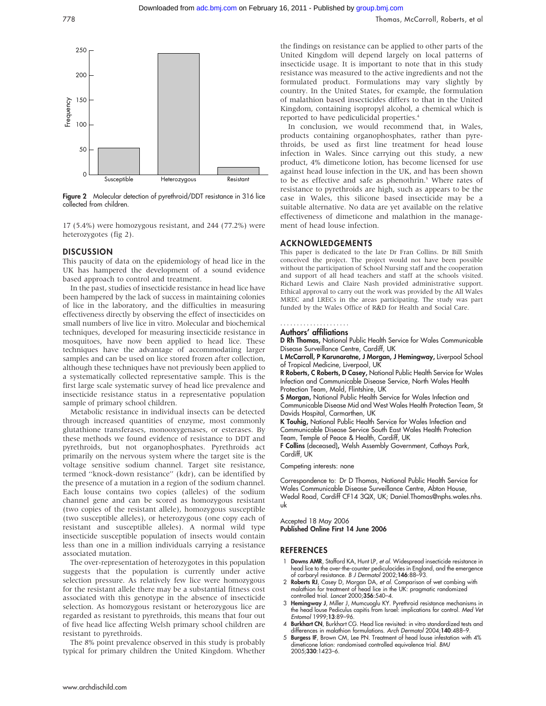

Figure 2 Molecular detection of pyrethroid/DDT resistance in 316 lice collected from children.

17 (5.4%) were homozygous resistant, and 244 (77.2%) were heterozygotes (fig 2).

#### **DISCUSSION**

This paucity of data on the epidemiology of head lice in the UK has hampered the development of a sound evidence based approach to control and treatment.

In the past, studies of insecticide resistance in head lice have been hampered by the lack of success in maintaining colonies of lice in the laboratory, and the difficulties in measuring effectiveness directly by observing the effect of insecticides on small numbers of live lice in vitro. Molecular and biochemical techniques, developed for measuring insecticide resistance in mosquitoes, have now been applied to head lice. These techniques have the advantage of accommodating larger samples and can be used on lice stored frozen after collection, although these techniques have not previously been applied to a systematically collected representative sample. This is the first large scale systematic survey of head lice prevalence and insecticide resistance status in a representative population sample of primary school children.

Metabolic resistance in individual insects can be detected through increased quantities of enzyme, most commonly glutathione transferases, monooxygenases, or esterases. By these methods we found evidence of resistance to DDT and pyrethroids, but not organophosphates. Pyrethroids act primarily on the nervous system where the target site is the voltage sensitive sodium channel. Target site resistance, termed ''knock-down resistance'' (kdr), can be identified by the presence of a mutation in a region of the sodium channel. Each louse contains two copies (alleles) of the sodium channel gene and can be scored as homozygous resistant (two copies of the resistant allele), homozygous susceptible (two susceptible alleles), or heterozygous (one copy each of resistant and susceptible alleles). A normal wild type insecticide susceptible population of insects would contain less than one in a million individuals carrying a resistance associated mutation.

The over-representation of heterozygotes in this population suggests that the population is currently under active selection pressure. As relatively few lice were homozygous for the resistant allele there may be a substantial fitness cost associated with this genotype in the absence of insecticide selection. As homozygous resistant or heterozygous lice are regarded as resistant to pyrethroids, this means that four out of five head lice affecting Welsh primary school children are resistant to pyrethroids.

The 8% point prevalence observed in this study is probably typical for primary children the United Kingdom. Whether

the findings on resistance can be applied to other parts of the United Kingdom will depend largely on local patterns of insecticide usage. It is important to note that in this study resistance was measured to the active ingredients and not the formulated product. Formulations may vary slightly by country. In the United States, for example, the formulation of malathion based insecticides differs to that in the United Kingdom, containing isopropyl alcohol, a chemical which is reported to have pediculicidal properties.<sup>4</sup>

In conclusion, we would recommend that, in Wales, products containing organophosphates, rather than pyrethroids, be used as first line treatment for head louse infection in Wales. Since carrying out this study, a new product, 4% dimeticone lotion, has become licensed for use against head louse infection in the UK, and has been shown to be as effective and safe as phenothrin.<sup>5</sup> Where rates of resistance to pyrethroids are high, such as appears to be the case in Wales, this silicone based insecticide may be a suitable alternative. No data are yet available on the relative effectiveness of dimeticone and malathion in the management of head louse infection.

## ACKNOWLEDGEMENTS

This paper is dedicated to the late Dr Fran Collins. Dr Bill Smith conceived the project. The project would not have been possible without the participation of School Nursing staff and the cooperation and support of all head teachers and staff at the schools visited. Richard Lewis and Claire Nash provided administrative support. Ethical approval to carry out the work was provided by the All Wales MREC and LRECs in the areas participating. The study was part funded by the Wales Office of R&D for Health and Social Care.

# .....................

Authors' affiliations

D Rh Thomas, National Public Health Service for Wales Communicable Disease Surveillance Centre, Cardiff, UK

L McCarroll, P Karunaratne, J Morgan, J Hemingway, Liverpool School of Tropical Medicine, Liverpool, UK

R Roberts, C Roberts, D Casey, National Public Health Service for Wales Infection and Communicable Disease Service, North Wales Health Protection Team, Mold, Flintshire, UK

S Morgan, National Public Health Service for Wales Infection and Communicable Disease Mid and West Wales Health Protection Team, St Davids Hospital, Carmarthen, UK

K Touhig, National Public Health Service for Wales Infection and Communicable Disease Service South East Wales Health Protection Team, Temple of Peace & Health, Cardiff, UK

F Collins (deceased), Welsh Assembly Government, Cathays Park, Cardiff, UK

Competing interests: none

Correspondence to: Dr D Thomas, National Public Health Service for Wales Communicable Disease Surveillance Centre, Abton House, Wedal Road, Cardiff CF14 3QX, UK; Daniel.Thomas@nphs.wales.nhs. uk

Accepted 18 May 2006 Published Online First 14 June 2006

#### REFERENCES

- 1 Downs AMR, Stafford KA, Hunt LP, et al. Widespread insecticide resistance in head lice to the over-the-counter pediculocides in England, and the emergence of carbaryl resistance. B J Dermatol 2002;146:88–93.
- 2 Roberts RJ, Casey D, Morgan DA, et al. Comparison of wet combing with malathion for treatment of head lice in the UK: pragmatic randomized controlled trial. Lancet 2000;356:540–4.
- 3 Hemingway J, Miller J, Mumcuoglu KY. Pyrethroid resistance mechanisms in the head louse Pediculus capitis from Israel: implications for control. Med Vet Entomol 1999;13:89–96.
- 4 Burkhart CN, Burkhart CG. Head lice revisited: in vitro standardized tests and differences in malathion formulations. Arch Dermatol 2004;140:488–9.
- 5 Burgess IF, Brown CM, Lee PN. Treatment of head louse infestation with 4% dimeticone lotion: randomised controlled equivalence trial. BMJ 2005;330:1423–6.